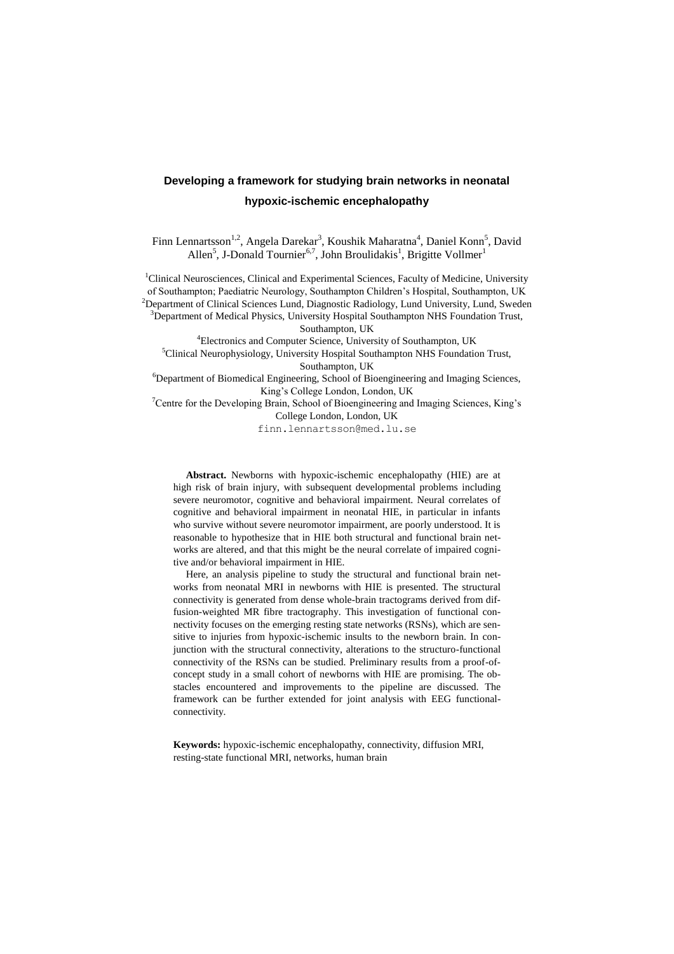# **Developing a framework for studying brain networks in neonatal hypoxic-ischemic encephalopathy**

Finn Lennartsson<sup>1,2</sup>, Angela Darekar<sup>3</sup>, Koushik Maharatna<sup>4</sup>, Daniel Konn<sup>5</sup>, David Allen<sup>5</sup>, J-Donald Tournier<sup>6,7</sup>, John Broulidakis<sup>1</sup>, Brigitte Vollmer<sup>1</sup>

<sup>1</sup>Clinical Neurosciences, Clinical and Experimental Sciences, Faculty of Medicine, University of Southampton; Paediatric Neurology, Southampton Children's Hospital, Southampton, UK <sup>2</sup>Department of Clinical Sciences Lund, Diagnostic Radiology, Lund University, Lund, Sweden <sup>3</sup>Department of Medical Physics, University Hospital Southampton NHS Foundation Trust,

Southampton, UK

<sup>4</sup>Electronics and Computer Science, University of Southampton, UK <sup>5</sup>Clinical Neurophysiology, University Hospital Southampton NHS Foundation Trust, Southampton, UK

<sup>6</sup>Department of Biomedical Engineering, School of Bioengineering and Imaging Sciences, King's College London, London, UK

<sup>7</sup>Centre for the Developing Brain, School of Bioengineering and Imaging Sciences, King's College London, London, UK

finn.lennartsson@med.lu.se

**Abstract.** Newborns with hypoxic-ischemic encephalopathy (HIE) are at high risk of brain injury, with subsequent developmental problems including severe neuromotor, cognitive and behavioral impairment. Neural correlates of cognitive and behavioral impairment in neonatal HIE, in particular in infants who survive without severe neuromotor impairment, are poorly understood. It is reasonable to hypothesize that in HIE both structural and functional brain networks are altered, and that this might be the neural correlate of impaired cognitive and/or behavioral impairment in HIE.

Here, an analysis pipeline to study the structural and functional brain networks from neonatal MRI in newborns with HIE is presented. The structural connectivity is generated from dense whole-brain tractograms derived from diffusion-weighted MR fibre tractography. This investigation of functional connectivity focuses on the emerging resting state networks (RSNs), which are sensitive to injuries from hypoxic-ischemic insults to the newborn brain. In conjunction with the structural connectivity, alterations to the structuro-functional connectivity of the RSNs can be studied. Preliminary results from a proof-ofconcept study in a small cohort of newborns with HIE are promising. The obstacles encountered and improvements to the pipeline are discussed. The framework can be further extended for joint analysis with EEG functionalconnectivity.

**Keywords:** hypoxic-ischemic encephalopathy, connectivity, diffusion MRI, resting-state functional MRI, networks, human brain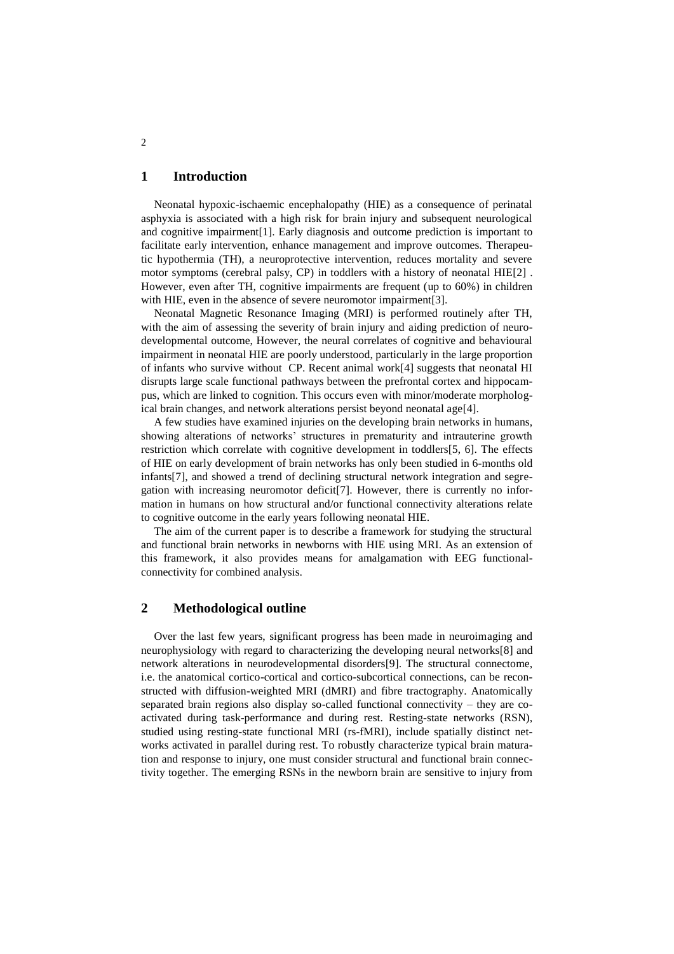## **1 Introduction**

Neonatal hypoxic-ischaemic encephalopathy (HIE) as a consequence of perinatal asphyxia is associated with a high risk for brain injury and subsequent neurological and cognitive impairment[1]. Early diagnosis and outcome prediction is important to facilitate early intervention, enhance management and improve outcomes. Therapeutic hypothermia (TH), a neuroprotective intervention, reduces mortality and severe motor symptoms (cerebral palsy, CP) in toddlers with a history of neonatal HIE[2] . However, even after TH, cognitive impairments are frequent (up to 60%) in children with HIE, even in the absence of severe neuromotor impairment[3].

Neonatal Magnetic Resonance Imaging (MRI) is performed routinely after TH, with the aim of assessing the severity of brain injury and aiding prediction of neurodevelopmental outcome, However, the neural correlates of cognitive and behavioural impairment in neonatal HIE are poorly understood, particularly in the large proportion of infants who survive without CP. Recent animal work[4] suggests that neonatal HI disrupts large scale functional pathways between the prefrontal cortex and hippocampus, which are linked to cognition. This occurs even with minor/moderate morphological brain changes, and network alterations persist beyond neonatal age[4].

A few studies have examined injuries on the developing brain networks in humans, showing alterations of networks' structures in prematurity and intrauterine growth restriction which correlate with cognitive development in toddlers[5, 6]. The effects of HIE on early development of brain networks has only been studied in 6-months old infants[7], and showed a trend of declining structural network integration and segregation with increasing neuromotor deficit[7]. However, there is currently no information in humans on how structural and/or functional connectivity alterations relate to cognitive outcome in the early years following neonatal HIE.

The aim of the current paper is to describe a framework for studying the structural and functional brain networks in newborns with HIE using MRI. As an extension of this framework, it also provides means for amalgamation with EEG functionalconnectivity for combined analysis.

## **2 Methodological outline**

Over the last few years, significant progress has been made in neuroimaging and neurophysiology with regard to characterizing the developing neural networks[8] and network alterations in neurodevelopmental disorders[9]. The structural connectome, i.e. the anatomical cortico-cortical and cortico-subcortical connections, can be reconstructed with diffusion-weighted MRI (dMRI) and fibre tractography. Anatomically separated brain regions also display so-called functional connectivity – they are coactivated during task-performance and during rest. Resting-state networks (RSN), studied using resting-state functional MRI (rs-fMRI), include spatially distinct networks activated in parallel during rest. To robustly characterize typical brain maturation and response to injury, one must consider structural and functional brain connectivity together. The emerging RSNs in the newborn brain are sensitive to injury from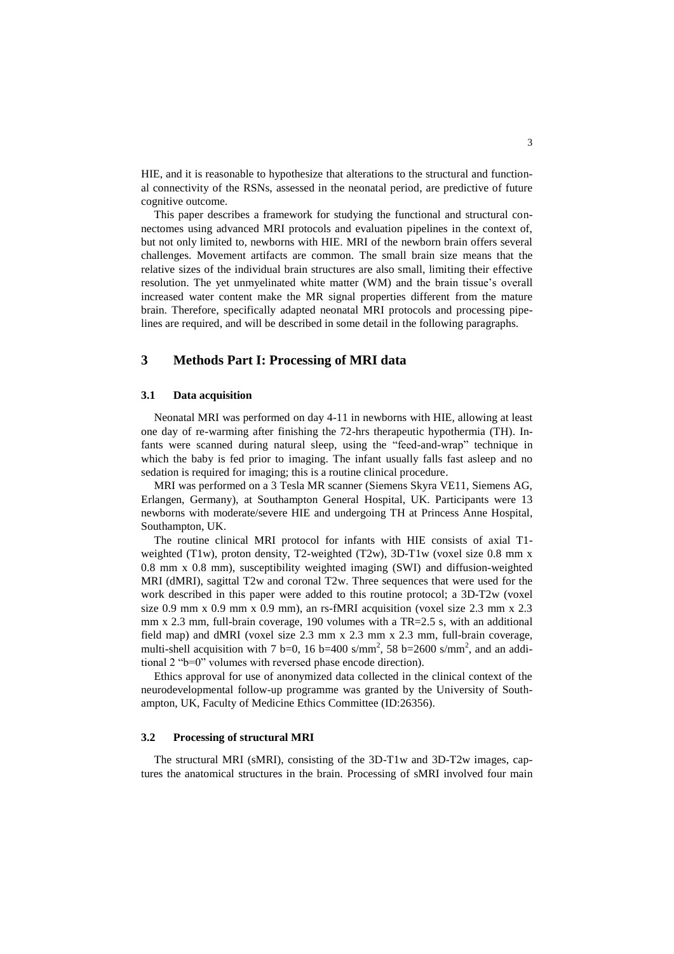HIE, and it is reasonable to hypothesize that alterations to the structural and functional connectivity of the RSNs, assessed in the neonatal period, are predictive of future cognitive outcome.

This paper describes a framework for studying the functional and structural connectomes using advanced MRI protocols and evaluation pipelines in the context of, but not only limited to, newborns with HIE. MRI of the newborn brain offers several challenges. Movement artifacts are common. The small brain size means that the relative sizes of the individual brain structures are also small, limiting their effective resolution. The yet unmyelinated white matter (WM) and the brain tissue's overall increased water content make the MR signal properties different from the mature brain. Therefore, specifically adapted neonatal MRI protocols and processing pipelines are required, and will be described in some detail in the following paragraphs.

# **3 Methods Part I: Processing of MRI data**

## **3.1 Data acquisition**

Neonatal MRI was performed on day 4-11 in newborns with HIE, allowing at least one day of re-warming after finishing the 72-hrs therapeutic hypothermia (TH). Infants were scanned during natural sleep, using the "feed-and-wrap" technique in which the baby is fed prior to imaging. The infant usually falls fast asleep and no sedation is required for imaging; this is a routine clinical procedure.

MRI was performed on a 3 Tesla MR scanner (Siemens Skyra VE11, Siemens AG, Erlangen, Germany), at Southampton General Hospital, UK. Participants were 13 newborns with moderate/severe HIE and undergoing TH at Princess Anne Hospital, Southampton, UK.

The routine clinical MRI protocol for infants with HIE consists of axial T1 weighted (T1w), proton density, T2-weighted (T2w), 3D-T1w (voxel size 0.8 mm x 0.8 mm x 0.8 mm), susceptibility weighted imaging (SWI) and diffusion-weighted MRI (dMRI), sagittal T2w and coronal T2w. Three sequences that were used for the work described in this paper were added to this routine protocol; a 3D-T2w (voxel size 0.9 mm x 0.9 mm x 0.9 mm), an rs-fMRI acquisition (voxel size 2.3 mm x 2.3 mm x 2.3 mm, full-brain coverage, 190 volumes with a TR=2.5 s, with an additional field map) and dMRI (voxel size 2.3 mm x 2.3 mm x 2.3 mm, full-brain coverage, multi-shell acquisition with 7 b=0, 16 b=400 s/mm<sup>2</sup>, 58 b=2600 s/mm<sup>2</sup>, and an additional 2 "b=0" volumes with reversed phase encode direction).

Ethics approval for use of anonymized data collected in the clinical context of the neurodevelopmental follow-up programme was granted by the University of Southampton, UK, Faculty of Medicine Ethics Committee (ID:26356).

## **3.2 Processing of structural MRI**

The structural MRI (sMRI), consisting of the 3D-T1w and 3D-T2w images, captures the anatomical structures in the brain. Processing of sMRI involved four main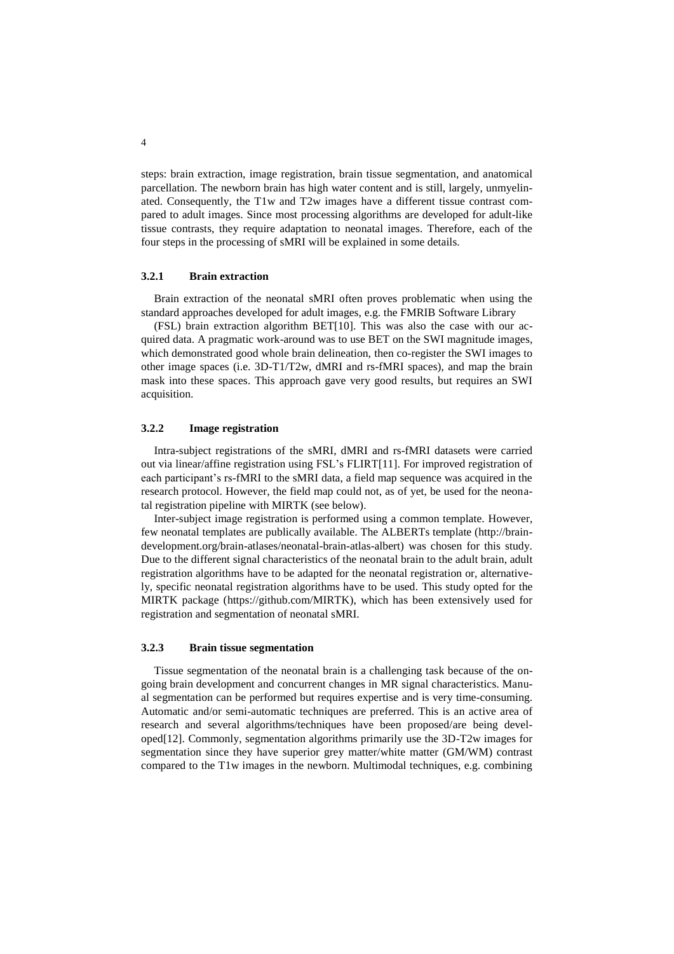steps: brain extraction, image registration, brain tissue segmentation, and anatomical parcellation. The newborn brain has high water content and is still, largely, unmyelinated. Consequently, the T1w and T2w images have a different tissue contrast compared to adult images. Since most processing algorithms are developed for adult-like tissue contrasts, they require adaptation to neonatal images. Therefore, each of the four steps in the processing of sMRI will be explained in some details.

#### **3.2.1 Brain extraction**

Brain extraction of the neonatal sMRI often proves problematic when using the standard approaches developed for adult images, e.g. the FMRIB Software Library

(FSL) brain extraction algorithm BET[10]. This was also the case with our acquired data. A pragmatic work-around was to use BET on the SWI magnitude images, which demonstrated good whole brain delineation, then co-register the SWI images to other image spaces (i.e. 3D-T1/T2w, dMRI and rs-fMRI spaces), and map the brain mask into these spaces. This approach gave very good results, but requires an SWI acquisition.

## **3.2.2 Image registration**

Intra-subject registrations of the sMRI, dMRI and rs-fMRI datasets were carried out via linear/affine registration using FSL's FLIRT[11]. For improved registration of each participant's rs-fMRI to the sMRI data, a field map sequence was acquired in the research protocol. However, the field map could not, as of yet, be used for the neonatal registration pipeline with MIRTK (see below).

Inter-subject image registration is performed using a common template. However, few neonatal templates are publically available. The ALBERTs template (http://braindevelopment.org/brain-atlases/neonatal-brain-atlas-albert) was chosen for this study. Due to the different signal characteristics of the neonatal brain to the adult brain, adult registration algorithms have to be adapted for the neonatal registration or, alternatively, specific neonatal registration algorithms have to be used. This study opted for the MIRTK package [\(https://github.com/MIRTK\)](https://github.com/MIRTK), which has been extensively used for registration and segmentation of neonatal sMRI.

#### **3.2.3 Brain tissue segmentation**

Tissue segmentation of the neonatal brain is a challenging task because of the ongoing brain development and concurrent changes in MR signal characteristics. Manual segmentation can be performed but requires expertise and is very time-consuming. Automatic and/or semi-automatic techniques are preferred. This is an active area of research and several algorithms/techniques have been proposed/are being developed[12]. Commonly, segmentation algorithms primarily use the 3D-T2w images for segmentation since they have superior grey matter/white matter (GM/WM) contrast compared to the T1w images in the newborn. Multimodal techniques, e.g. combining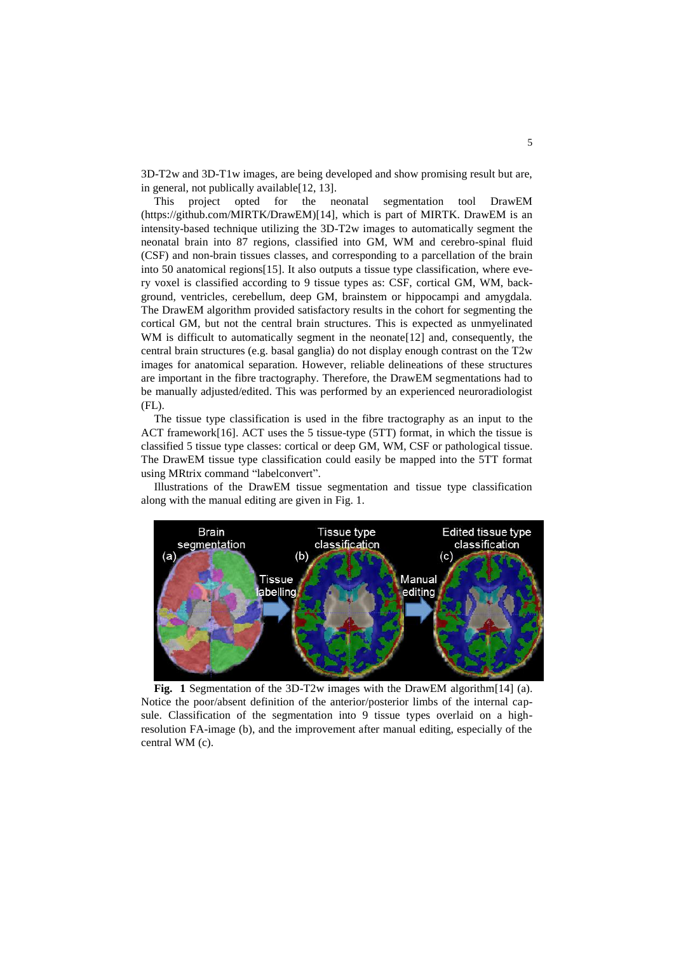3D-T2w and 3D-T1w images, are being developed and show promising result but are, in general, not publically available[12, 13].

This project opted for the neonatal segmentation tool DrawEM [\(https://github.com/MIRTK/DrawEM\)](https://github.com/MIRTK/DrawEM)[14], which is part of MIRTK. DrawEM is an intensity-based technique utilizing the 3D-T2w images to automatically segment the neonatal brain into 87 regions, classified into GM, WM and cerebro-spinal fluid (CSF) and non-brain tissues classes, and corresponding to a parcellation of the brain into 50 anatomical regions[15]. It also outputs a tissue type classification, where every voxel is classified according to 9 tissue types as: CSF, cortical GM, WM, background, ventricles, cerebellum, deep GM, brainstem or hippocampi and amygdala. The DrawEM algorithm provided satisfactory results in the cohort for segmenting the cortical GM, but not the central brain structures. This is expected as unmyelinated WM is difficult to automatically segment in the neonate [12] and, consequently, the central brain structures (e.g. basal ganglia) do not display enough contrast on the T2w images for anatomical separation. However, reliable delineations of these structures are important in the fibre tractography. Therefore, the DrawEM segmentations had to be manually adjusted/edited. This was performed by an experienced neuroradiologist (FL).

The tissue type classification is used in the fibre tractography as an input to the ACT framework[16]. ACT uses the 5 tissue-type (5TT) format, in which the tissue is classified 5 tissue type classes: cortical or deep GM, WM, CSF or pathological tissue. The DrawEM tissue type classification could easily be mapped into the 5TT format using MRtrix command "labelconvert".

Illustrations of the DrawEM tissue segmentation and tissue type classification along with the manual editing are given in Fig. 1.



**Fig. 1** Segmentation of the 3D-T2w images with the DrawEM algorithm[14] (a). Notice the poor/absent definition of the anterior/posterior limbs of the internal capsule. Classification of the segmentation into 9 tissue types overlaid on a highresolution FA-image (b), and the improvement after manual editing, especially of the central WM (c).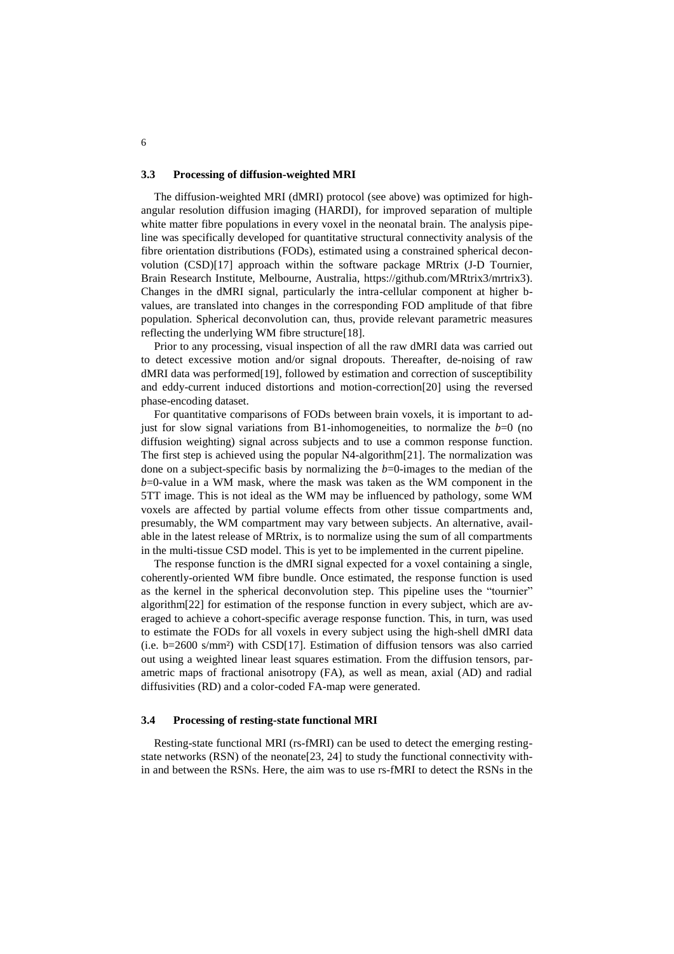### **3.3 Processing of diffusion-weighted MRI**

The diffusion-weighted MRI (dMRI) protocol (see above) was optimized for highangular resolution diffusion imaging (HARDI), for improved separation of multiple white matter fibre populations in every voxel in the neonatal brain. The analysis pipeline was specifically developed for quantitative structural connectivity analysis of the fibre orientation distributions (FODs), estimated using a constrained spherical deconvolution (CSD)[17] approach within the software package MRtrix (J-D Tournier, Brain Research Institute, Melbourne, Australia, [https://github.com/MRtrix3/mrtrix3\)](https://github.com/MRtrix3/mrtrix3). Changes in the dMRI signal, particularly the intra-cellular component at higher bvalues, are translated into changes in the corresponding FOD amplitude of that fibre population. Spherical deconvolution can, thus, provide relevant parametric measures reflecting the underlying WM fibre structure[18].

Prior to any processing, visual inspection of all the raw dMRI data was carried out to detect excessive motion and/or signal dropouts. Thereafter, de-noising of raw dMRI data was performed[19], followed by estimation and correction of susceptibility and eddy-current induced distortions and motion-correction[20] using the reversed phase-encoding dataset.

For quantitative comparisons of FODs between brain voxels, it is important to adjust for slow signal variations from B1-inhomogeneities, to normalize the  $b=0$  (no diffusion weighting) signal across subjects and to use a common response function. The first step is achieved using the popular N4-algorithm[21]. The normalization was done on a subject-specific basis by normalizing the *b*=0-images to the median of the *b*=0-value in a WM mask, where the mask was taken as the WM component in the 5TT image. This is not ideal as the WM may be influenced by pathology, some WM voxels are affected by partial volume effects from other tissue compartments and, presumably, the WM compartment may vary between subjects. An alternative, available in the latest release of MRtrix, is to normalize using the sum of all compartments in the multi-tissue CSD model. This is yet to be implemented in the current pipeline.

The response function is the dMRI signal expected for a voxel containing a single, coherently-oriented WM fibre bundle. Once estimated, the response function is used as the kernel in the spherical deconvolution step. This pipeline uses the "tournier" algorithm[22] for estimation of the response function in every subject, which are averaged to achieve a cohort-specific average response function. This, in turn, was used to estimate the FODs for all voxels in every subject using the high-shell dMRI data (i.e.  $b=2600 \text{ s/mm}^2$ ) with CSD[17]. Estimation of diffusion tensors was also carried out using a weighted linear least squares estimation. From the diffusion tensors, parametric maps of fractional anisotropy (FA), as well as mean, axial (AD) and radial diffusivities (RD) and a color-coded FA-map were generated.

#### **3.4 Processing of resting-state functional MRI**

Resting-state functional MRI (rs-fMRI) can be used to detect the emerging restingstate networks  $(RSN)$  of the neonate  $[23, 24]$  to study the functional connectivity within and between the RSNs. Here, the aim was to use rs-fMRI to detect the RSNs in the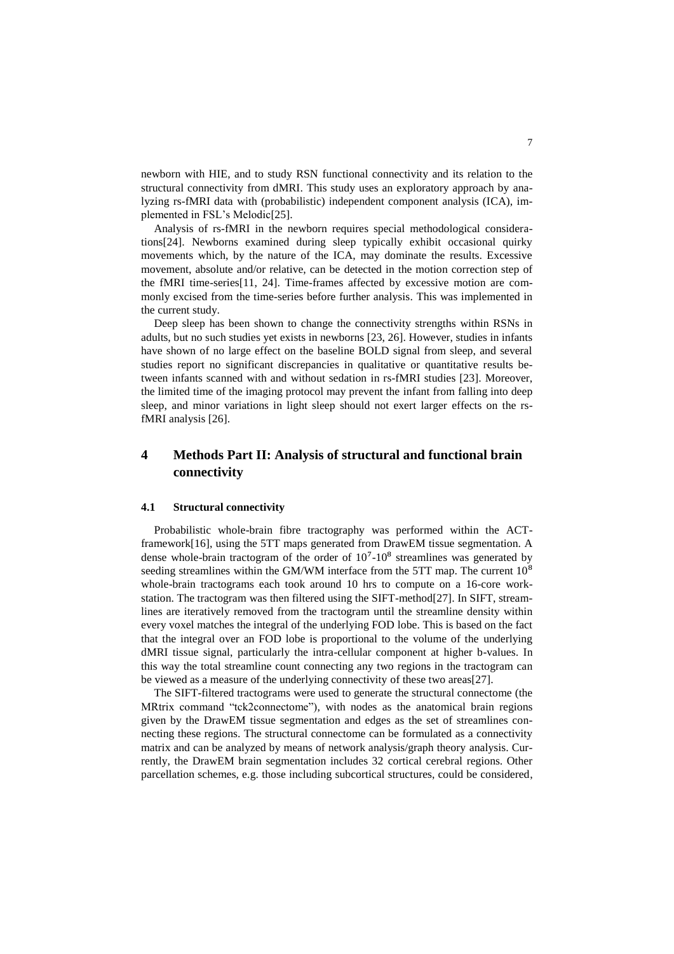newborn with HIE, and to study RSN functional connectivity and its relation to the structural connectivity from dMRI. This study uses an exploratory approach by analyzing rs-fMRI data with (probabilistic) independent component analysis (ICA), implemented in FSL's Melodic[25].

Analysis of rs-fMRI in the newborn requires special methodological considerations[24]. Newborns examined during sleep typically exhibit occasional quirky movements which, by the nature of the ICA, may dominate the results. Excessive movement, absolute and/or relative, can be detected in the motion correction step of the fMRI time-series[11, 24]. Time-frames affected by excessive motion are commonly excised from the time-series before further analysis. This was implemented in the current study.

Deep sleep has been shown to change the connectivity strengths within RSNs in adults, but no such studies yet exists in newborns [23, 26]. However, studies in infants have shown of no large effect on the baseline BOLD signal from sleep, and several studies report no significant discrepancies in qualitative or quantitative results between infants scanned with and without sedation in rs-fMRI studies [23]. Moreover, the limited time of the imaging protocol may prevent the infant from falling into deep sleep, and minor variations in light sleep should not exert larger effects on the rsfMRI analysis [26].

# **4 Methods Part II: Analysis of structural and functional brain connectivity**

## **4.1 Structural connectivity**

Probabilistic whole-brain fibre tractography was performed within the ACTframework[16], using the 5TT maps generated from DrawEM tissue segmentation. A dense whole-brain tractogram of the order of  $10^{7}$ - $10^{8}$  streamlines was generated by seeding streamlines within the GM/WM interface from the 5TT map. The current  $10<sup>8</sup>$ whole-brain tractograms each took around 10 hrs to compute on a 16-core workstation. The tractogram was then filtered using the SIFT-method[27]. In SIFT, streamlines are iteratively removed from the tractogram until the streamline density within every voxel matches the integral of the underlying FOD lobe. This is based on the fact that the integral over an FOD lobe is proportional to the volume of the underlying dMRI tissue signal, particularly the intra-cellular component at higher b-values. In this way the total streamline count connecting any two regions in the tractogram can be viewed as a measure of the underlying connectivity of these two areas[27].

The SIFT-filtered tractograms were used to generate the structural connectome (the MRtrix command "tck2connectome"), with nodes as the anatomical brain regions given by the DrawEM tissue segmentation and edges as the set of streamlines connecting these regions. The structural connectome can be formulated as a connectivity matrix and can be analyzed by means of network analysis/graph theory analysis. Currently, the DrawEM brain segmentation includes 32 cortical cerebral regions. Other parcellation schemes, e.g. those including subcortical structures, could be considered,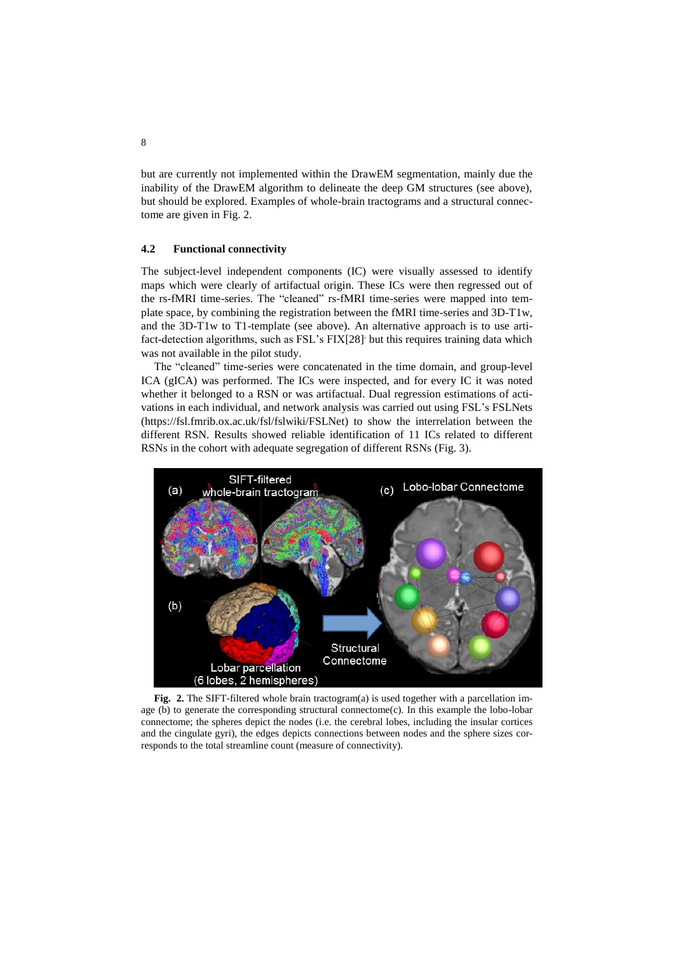but are currently not implemented within the DrawEM segmentation, mainly due the inability of the DrawEM algorithm to delineate the deep GM structures (see above), but should be explored. Examples of whole-brain tractograms and a structural connectome are given in Fig. 2.

## **4.2 Functional connectivity**

The subject-level independent components (IC) were visually assessed to identify maps which were clearly of artifactual origin. These ICs were then regressed out of the rs-fMRI time-series. The "cleaned" rs-fMRI time-series were mapped into template space, by combining the registration between the fMRI time-series and 3D-T1w, and the 3D-T1w to T1-template (see above). An alternative approach is to use artifact-detection algorithms, such as FSL's FIX[28]' but this requires training data which was not available in the pilot study.

The "cleaned" time-series were concatenated in the time domain, and group-level ICA (gICA) was performed. The ICs were inspected, and for every IC it was noted whether it belonged to a RSN or was artifactual. Dual regression estimations of activations in each individual, and network analysis was carried out using FSL's FSLNets (https://fsl.fmrib.ox.ac.uk/fsl/fslwiki/FSLNet) to show the interrelation between the different RSN. Results showed reliable identification of 11 ICs related to different RSNs in the cohort with adequate segregation of different RSNs (Fig. 3).



**Fig. 2.** The SIFT-filtered whole brain tractogram(a) is used together with a parcellation image (b) to generate the corresponding structural connectome(c). In this example the lobo-lobar connectome; the spheres depict the nodes (i.e. the cerebral lobes, including the insular cortices and the cingulate gyri), the edges depicts connections between nodes and the sphere sizes corresponds to the total streamline count (measure of connectivity).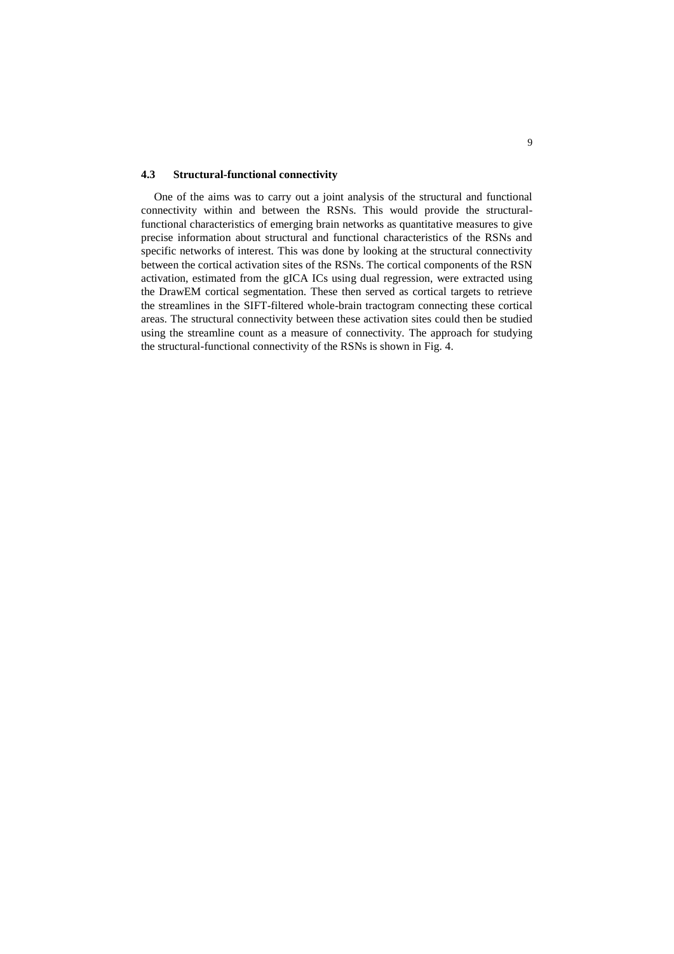#### **4.3 Structural-functional connectivity**

One of the aims was to carry out a joint analysis of the structural and functional connectivity within and between the RSNs. This would provide the structuralfunctional characteristics of emerging brain networks as quantitative measures to give precise information about structural and functional characteristics of the RSNs and specific networks of interest. This was done by looking at the structural connectivity between the cortical activation sites of the RSNs. The cortical components of the RSN activation, estimated from the gICA ICs using dual regression, were extracted using the DrawEM cortical segmentation. These then served as cortical targets to retrieve the streamlines in the SIFT-filtered whole-brain tractogram connecting these cortical areas. The structural connectivity between these activation sites could then be studied using the streamline count as a measure of connectivity. The approach for studying the structural-functional connectivity of the RSNs is shown in Fig. 4.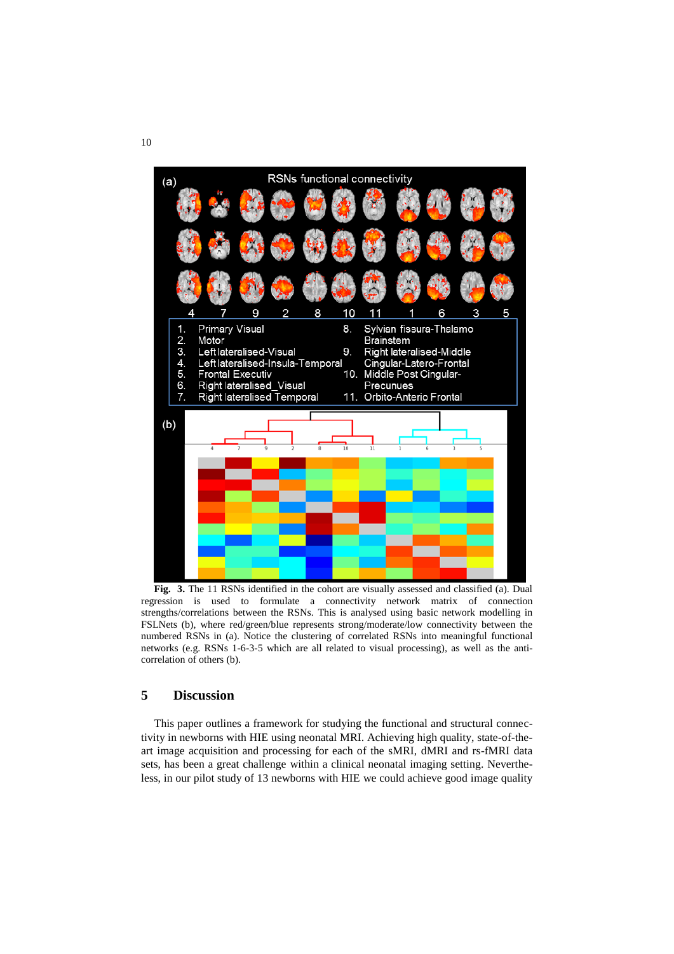

**Fig. 3.** The 11 RSNs identified in the cohort are visually assessed and classified (a). Dual regression is used to formulate a connectivity network matrix of connection strengths/correlations between the RSNs. This is analysed using basic network modelling in FSLNets (b), where red/green/blue represents strong/moderate/low connectivity between the numbered RSNs in (a). Notice the clustering of correlated RSNs into meaningful functional networks (e.g. RSNs 1-6-3-5 which are all related to visual processing), as well as the anticorrelation of others (b).

# **5 Discussion**

This paper outlines a framework for studying the functional and structural connectivity in newborns with HIE using neonatal MRI. Achieving high quality, state-of-theart image acquisition and processing for each of the sMRI, dMRI and rs-fMRI data sets, has been a great challenge within a clinical neonatal imaging setting. Nevertheless, in our pilot study of 13 newborns with HIE we could achieve good image quality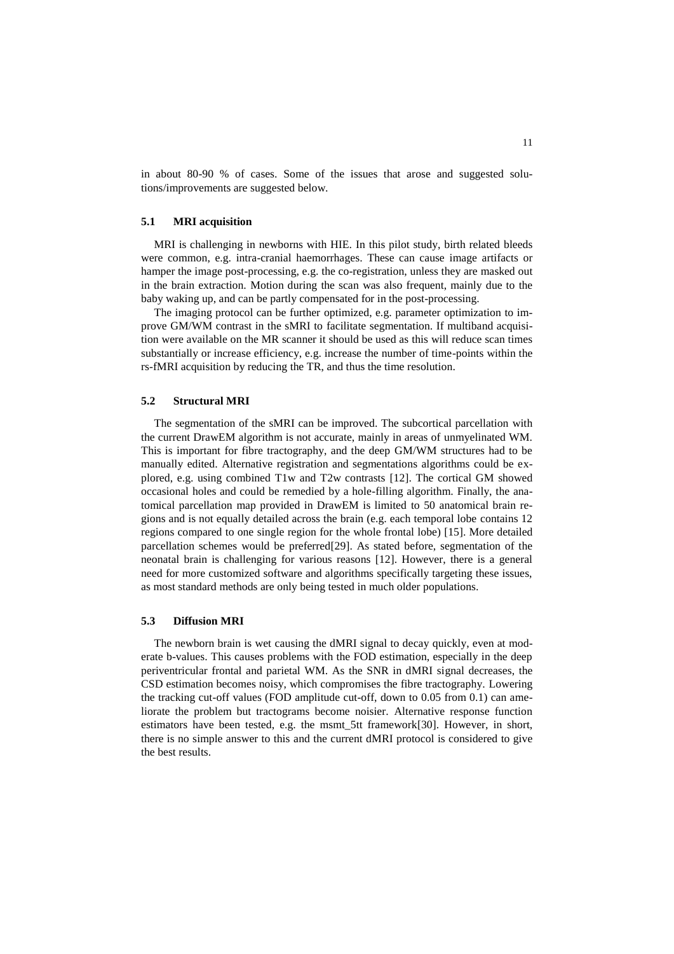in about 80-90 % of cases. Some of the issues that arose and suggested solutions/improvements are suggested below.

### **5.1 MRI acquisition**

MRI is challenging in newborns with HIE. In this pilot study, birth related bleeds were common, e.g. intra-cranial haemorrhages. These can cause image artifacts or hamper the image post-processing, e.g. the co-registration, unless they are masked out in the brain extraction. Motion during the scan was also frequent, mainly due to the baby waking up, and can be partly compensated for in the post-processing.

The imaging protocol can be further optimized, e.g. parameter optimization to improve GM/WM contrast in the sMRI to facilitate segmentation. If multiband acquisition were available on the MR scanner it should be used as this will reduce scan times substantially or increase efficiency, e.g. increase the number of time-points within the rs-fMRI acquisition by reducing the TR, and thus the time resolution.

## **5.2 Structural MRI**

The segmentation of the sMRI can be improved. The subcortical parcellation with the current DrawEM algorithm is not accurate, mainly in areas of unmyelinated WM. This is important for fibre tractography, and the deep GM/WM structures had to be manually edited. Alternative registration and segmentations algorithms could be explored, e.g. using combined T1w and T2w contrasts [12]. The cortical GM showed occasional holes and could be remedied by a hole-filling algorithm. Finally, the anatomical parcellation map provided in DrawEM is limited to 50 anatomical brain regions and is not equally detailed across the brain (e.g. each temporal lobe contains 12 regions compared to one single region for the whole frontal lobe) [15]. More detailed parcellation schemes would be preferred[29]. As stated before, segmentation of the neonatal brain is challenging for various reasons [12]. However, there is a general need for more customized software and algorithms specifically targeting these issues, as most standard methods are only being tested in much older populations.

#### **5.3 Diffusion MRI**

The newborn brain is wet causing the dMRI signal to decay quickly, even at moderate b-values. This causes problems with the FOD estimation, especially in the deep periventricular frontal and parietal WM. As the SNR in dMRI signal decreases, the CSD estimation becomes noisy, which compromises the fibre tractography. Lowering the tracking cut-off values (FOD amplitude cut-off, down to 0.05 from 0.1) can ameliorate the problem but tractograms become noisier. Alternative response function estimators have been tested, e.g. the msmt\_5tt framework[30]. However, in short, there is no simple answer to this and the current dMRI protocol is considered to give the best results.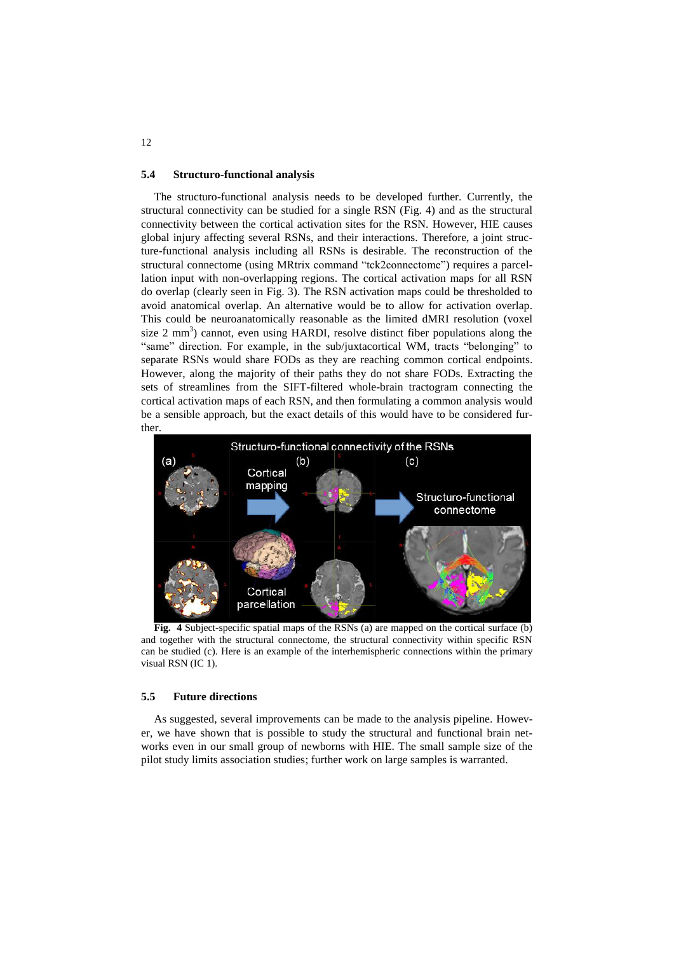#### **5.4 Structuro-functional analysis**

The structuro-functional analysis needs to be developed further. Currently, the structural connectivity can be studied for a single RSN (Fig. 4) and as the structural connectivity between the cortical activation sites for the RSN. However, HIE causes global injury affecting several RSNs, and their interactions. Therefore, a joint structure-functional analysis including all RSNs is desirable. The reconstruction of the structural connectome (using MRtrix command "tck2connectome") requires a parcellation input with non-overlapping regions. The cortical activation maps for all RSN do overlap (clearly seen in Fig. 3). The RSN activation maps could be thresholded to avoid anatomical overlap. An alternative would be to allow for activation overlap. This could be neuroanatomically reasonable as the limited dMRI resolution (voxel size  $2 \text{ mm}^3$ ) cannot, even using HARDI, resolve distinct fiber populations along the "same" direction. For example, in the sub/juxtacortical WM, tracts "belonging" to separate RSNs would share FODs as they are reaching common cortical endpoints. However, along the majority of their paths they do not share FODs. Extracting the sets of streamlines from the SIFT-filtered whole-brain tractogram connecting the cortical activation maps of each RSN, and then formulating a common analysis would be a sensible approach, but the exact details of this would have to be considered further.



**Fig. 4** Subject-specific spatial maps of the RSNs (a) are mapped on the cortical surface (b) and together with the structural connectome, the structural connectivity within specific RSN can be studied (c). Here is an example of the interhemispheric connections within the primary visual RSN (IC 1).

#### **5.5 Future directions**

As suggested, several improvements can be made to the analysis pipeline. However, we have shown that is possible to study the structural and functional brain networks even in our small group of newborns with HIE. The small sample size of the pilot study limits association studies; further work on large samples is warranted.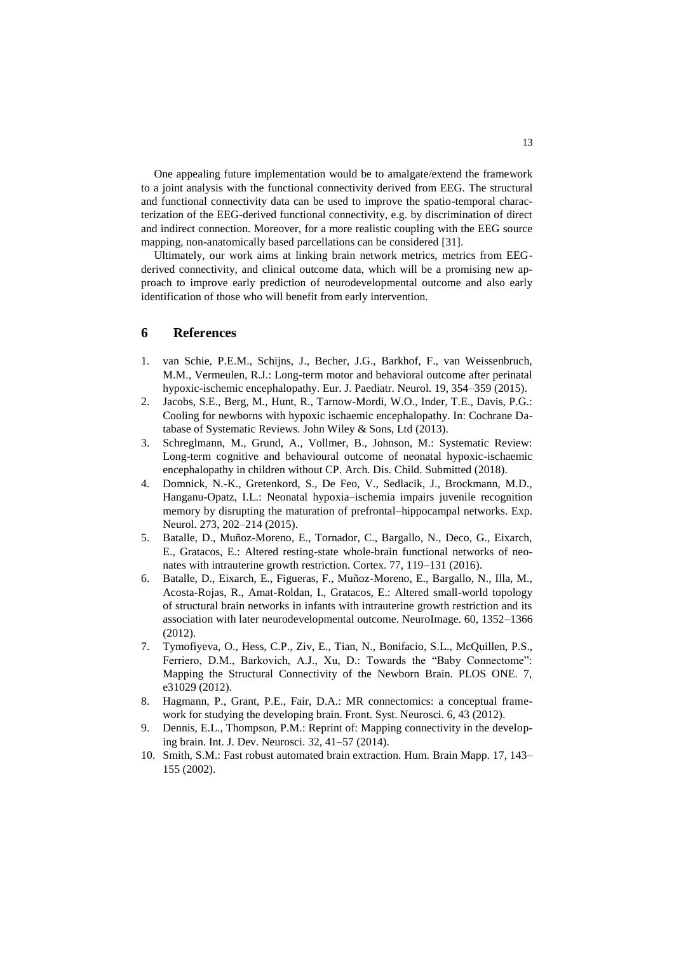One appealing future implementation would be to amalgate/extend the framework to a joint analysis with the functional connectivity derived from EEG. The structural and functional connectivity data can be used to improve the spatio-temporal characterization of the EEG-derived functional connectivity, e.g. by discrimination of direct and indirect connection. Moreover, for a more realistic coupling with the EEG source mapping, non-anatomically based parcellations can be considered [31].

Ultimately, our work aims at linking brain network metrics, metrics from EEGderived connectivity, and clinical outcome data, which will be a promising new approach to improve early prediction of neurodevelopmental outcome and also early identification of those who will benefit from early intervention.

# **6 References**

- 1. van Schie, P.E.M., Schijns, J., Becher, J.G., Barkhof, F., van Weissenbruch, M.M., Vermeulen, R.J.: Long-term motor and behavioral outcome after perinatal hypoxic-ischemic encephalopathy. Eur. J. Paediatr. Neurol. 19, 354–359 (2015).
- 2. Jacobs, S.E., Berg, M., Hunt, R., Tarnow-Mordi, W.O., Inder, T.E., Davis, P.G.: Cooling for newborns with hypoxic ischaemic encephalopathy. In: Cochrane Database of Systematic Reviews. John Wiley & Sons, Ltd (2013).
- 3. Schreglmann, M., Grund, A., Vollmer, B., Johnson, M.: Systematic Review: Long-term cognitive and behavioural outcome of neonatal hypoxic-ischaemic encephalopathy in children without CP. Arch. Dis. Child. Submitted (2018).
- 4. Domnick, N.-K., Gretenkord, S., De Feo, V., Sedlacik, J., Brockmann, M.D., Hanganu-Opatz, I.L.: Neonatal hypoxia–ischemia impairs juvenile recognition memory by disrupting the maturation of prefrontal–hippocampal networks. Exp. Neurol. 273, 202–214 (2015).
- 5. Batalle, D., Muñoz-Moreno, E., Tornador, C., Bargallo, N., Deco, G., Eixarch, E., Gratacos, E.: Altered resting-state whole-brain functional networks of neonates with intrauterine growth restriction. Cortex. 77, 119–131 (2016).
- 6. Batalle, D., Eixarch, E., Figueras, F., Muñoz-Moreno, E., Bargallo, N., Illa, M., Acosta-Rojas, R., Amat-Roldan, I., Gratacos, E.: Altered small-world topology of structural brain networks in infants with intrauterine growth restriction and its association with later neurodevelopmental outcome. NeuroImage. 60, 1352–1366 (2012).
- 7. Tymofiyeva, O., Hess, C.P., Ziv, E., Tian, N., Bonifacio, S.L., McQuillen, P.S., Ferriero, D.M., Barkovich, A.J., Xu, D.: Towards the "Baby Connectome": Mapping the Structural Connectivity of the Newborn Brain. PLOS ONE. 7, e31029 (2012).
- 8. Hagmann, P., Grant, P.E., Fair, D.A.: MR connectomics: a conceptual framework for studying the developing brain. Front. Syst. Neurosci. 6, 43 (2012).
- 9. Dennis, E.L., Thompson, P.M.: Reprint of: Mapping connectivity in the developing brain. Int. J. Dev. Neurosci. 32, 41–57 (2014).
- 10. Smith, S.M.: Fast robust automated brain extraction. Hum. Brain Mapp. 17, 143– 155 (2002).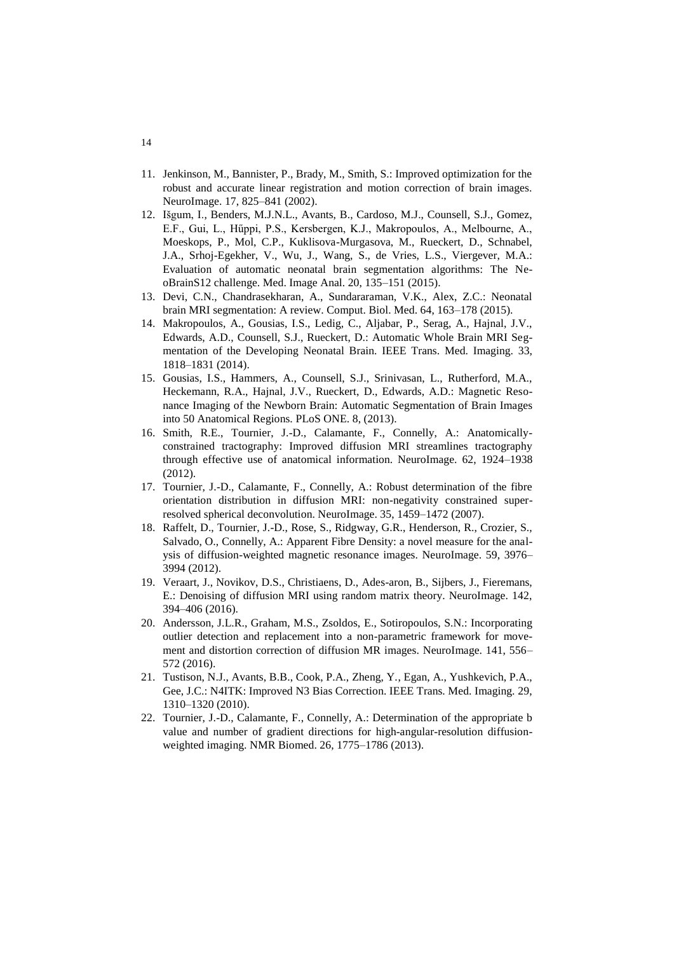- 11. Jenkinson, M., Bannister, P., Brady, M., Smith, S.: Improved optimization for the robust and accurate linear registration and motion correction of brain images. NeuroImage. 17, 825–841 (2002).
- 12. Išgum, I., Benders, M.J.N.L., Avants, B., Cardoso, M.J., Counsell, S.J., Gomez, E.F., Gui, L., Hűppi, P.S., Kersbergen, K.J., Makropoulos, A., Melbourne, A., Moeskops, P., Mol, C.P., Kuklisova-Murgasova, M., Rueckert, D., Schnabel, J.A., Srhoj-Egekher, V., Wu, J., Wang, S., de Vries, L.S., Viergever, M.A.: Evaluation of automatic neonatal brain segmentation algorithms: The NeoBrainS12 challenge. Med. Image Anal. 20, 135–151 (2015).
- 13. Devi, C.N., Chandrasekharan, A., Sundararaman, V.K., Alex, Z.C.: Neonatal brain MRI segmentation: A review. Comput. Biol. Med. 64, 163–178 (2015).
- 14. Makropoulos, A., Gousias, I.S., Ledig, C., Aljabar, P., Serag, A., Hajnal, J.V., Edwards, A.D., Counsell, S.J., Rueckert, D.: Automatic Whole Brain MRI Segmentation of the Developing Neonatal Brain. IEEE Trans. Med. Imaging. 33, 1818–1831 (2014).
- 15. Gousias, I.S., Hammers, A., Counsell, S.J., Srinivasan, L., Rutherford, M.A., Heckemann, R.A., Hajnal, J.V., Rueckert, D., Edwards, A.D.: Magnetic Resonance Imaging of the Newborn Brain: Automatic Segmentation of Brain Images into 50 Anatomical Regions. PLoS ONE. 8, (2013).
- 16. Smith, R.E., Tournier, J.-D., Calamante, F., Connelly, A.: Anatomicallyconstrained tractography: Improved diffusion MRI streamlines tractography through effective use of anatomical information. NeuroImage. 62, 1924–1938 (2012).
- 17. Tournier, J.-D., Calamante, F., Connelly, A.: Robust determination of the fibre orientation distribution in diffusion MRI: non-negativity constrained superresolved spherical deconvolution. NeuroImage. 35, 1459–1472 (2007).
- 18. Raffelt, D., Tournier, J.-D., Rose, S., Ridgway, G.R., Henderson, R., Crozier, S., Salvado, O., Connelly, A.: Apparent Fibre Density: a novel measure for the analysis of diffusion-weighted magnetic resonance images. NeuroImage. 59, 3976– 3994 (2012).
- 19. Veraart, J., Novikov, D.S., Christiaens, D., Ades-aron, B., Sijbers, J., Fieremans, E.: Denoising of diffusion MRI using random matrix theory. NeuroImage. 142, 394–406 (2016).
- 20. Andersson, J.L.R., Graham, M.S., Zsoldos, E., Sotiropoulos, S.N.: Incorporating outlier detection and replacement into a non-parametric framework for movement and distortion correction of diffusion MR images. NeuroImage. 141, 556– 572 (2016).
- 21. Tustison, N.J., Avants, B.B., Cook, P.A., Zheng, Y., Egan, A., Yushkevich, P.A., Gee, J.C.: N4ITK: Improved N3 Bias Correction. IEEE Trans. Med. Imaging. 29, 1310–1320 (2010).
- 22. Tournier, J.-D., Calamante, F., Connelly, A.: Determination of the appropriate b value and number of gradient directions for high-angular-resolution diffusionweighted imaging. NMR Biomed. 26, 1775–1786 (2013).